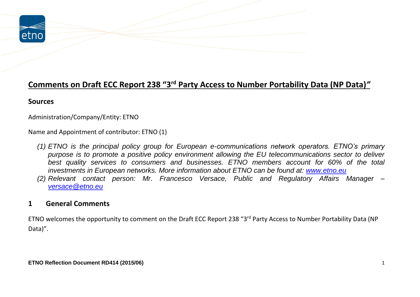

## **Comments on Draft ECC Report 238 "3rd Party Access to Number Portability Data (NP Data)***"*

## **Sources**

Administration/Company/Entity: ETNO

Name and Appointment of contributor: ETNO (1)

- *(1) ETNO is the principal policy group for European e-communications network operators. ETNO's primary purpose is to promote a positive policy environment allowing the EU telecommunications sector to deliver best quality services to consumers and businesses. ETNO members account for 60% of the total investments in European networks. More information about ETNO can be found at: [www.etno.eu](http://www.etno.eu/)*
- *(2) Relevant contact person: Mr. Francesco Versace, Public and Regulatory Affairs Manager – [versace@etno.eu](mailto:versace@etno.eu)*

## **1 General Comments**

ETNO welcomes the opportunity to comment on the Draft ECC Report 238 "3rd Party Access to Number Portability Data (NP Data)".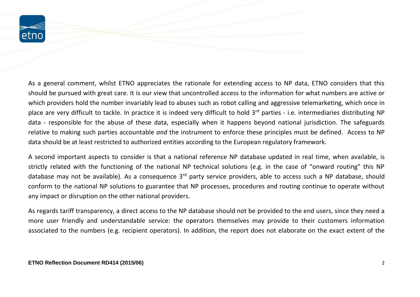

As a general comment, whilst ETNO appreciates the rationale for extending access to NP data, ETNO considers that this should be pursued with great care. It is our view that uncontrolled access to the information for what numbers are active or which providers hold the number invariably lead to abuses such as robot calling and aggressive telemarketing, which once in place are very difficult to tackle. In practice it is indeed very difficult to hold 3<sup>rd</sup> parties - i.e. intermediaries distributing NP data - responsible for the abuse of these data, especially when it happens beyond national jurisdiction. The safeguards relative to making such parties accountable *and* the instrument to enforce these principles must be defined. Access to NP data should be at least restricted to authorized entities according to the European regulatory framework.

A second important aspects to consider is that a national reference NP database updated in real time, when available, is strictly related with the functioning of the national NP technical solutions (e.g. in the case of "onward routing" this NP database may not be available). As a consequence 3<sup>rd</sup> party service providers, able to access such a NP database, should conform to the national NP solutions to guarantee that NP processes, procedures and routing continue to operate without any impact or disruption on the other national providers.

As regards tariff transparency, a direct access to the NP database should not be provided to the end users, since they need a more user friendly and understandable service: the operators themselves may provide to their customers information associated to the numbers (e.g. recipient operators). In addition, the report does not elaborate on the exact extent of the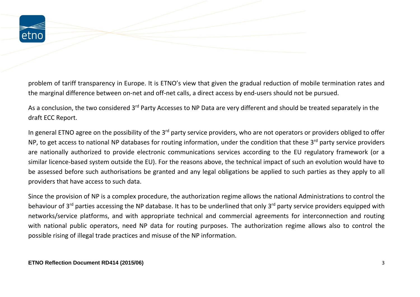

problem of tariff transparency in Europe. It is ETNO's view that given the gradual reduction of mobile termination rates and the marginal difference between on-net and off-net calls, a direct access by end-users should not be pursued.

As a conclusion, the two considered 3<sup>rd</sup> Party Accesses to NP Data are very different and should be treated separately in the draft ECC Report.

In general ETNO agree on the possibility of the 3<sup>rd</sup> party service providers, who are not operators or providers obliged to offer NP, to get access to national NP databases for routing information, under the condition that these 3<sup>rd</sup> party service providers are nationally authorized to provide electronic communications services according to the EU regulatory framework (or a similar licence-based system outside the EU). For the reasons above, the technical impact of such an evolution would have to be assessed before such authorisations be granted and any legal obligations be applied to such parties as they apply to all providers that have access to such data.

Since the provision of NP is a complex procedure, the authorization regime allows the national Administrations to control the behaviour of 3<sup>rd</sup> parties accessing the NP database. It has to be underlined that only 3<sup>rd</sup> party service providers equipped with networks/service platforms, and with appropriate technical and commercial agreements for interconnection and routing with national public operators, need NP data for routing purposes. The authorization regime allows also to control the possible rising of illegal trade practices and misuse of the NP information.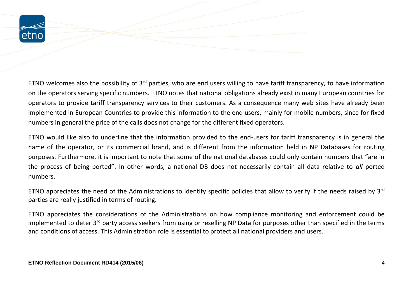

ETNO welcomes also the possibility of  $3^{rd}$  parties, who are end users willing to have tariff transparency, to have information on the operators serving specific numbers. ETNO notes that national obligations already exist in many European countries for operators to provide tariff transparency services to their customers. As a consequence many web sites have already been implemented in European Countries to provide this information to the end users, mainly for mobile numbers, since for fixed numbers in general the price of the calls does not change for the different fixed operators.

ETNO would like also to underline that the information provided to the end-users for tariff transparency is in general the name of the operator, or its commercial brand, and is different from the information held in NP Databases for routing purposes. Furthermore, it is important to note that some of the national databases could only contain numbers that "are in the process of being ported". In other words, a national DB does not necessarily contain all data relative to *all* ported numbers.

ETNO appreciates the need of the Administrations to identify specific policies that allow to verify if the needs raised by 3<sup>rd</sup> parties are really justified in terms of routing.

ETNO appreciates the considerations of the Administrations on how compliance monitoring and enforcement could be implemented to deter 3<sup>rd</sup> party access seekers from using or reselling NP Data for purposes other than specified in the terms and conditions of access. This Administration role is essential to protect all national providers and users.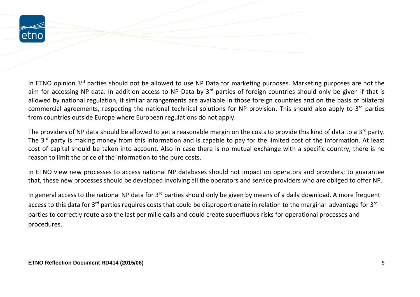

In ETNO opinion 3<sup>rd</sup> parties should not be allowed to use NP Data for marketing purposes. Marketing purposes are not the aim for accessing NP data. In addition access to NP Data by 3<sup>rd</sup> parties of foreign countries should only be given if that is allowed by national regulation, if similar arrangements are available in those foreign countries and on the basis of bilateral commercial agreements, respecting the national technical solutions for NP provision. This should also apply to 3<sup>rd</sup> parties from countries outside Europe where European regulations do not apply.

The providers of NP data should be allowed to get a reasonable margin on the costs to provide this kind of data to a 3<sup>rd</sup> party. The 3<sup>rd</sup> party is making money from this information and is capable to pay for the limited cost of the information. At least cost of capital should be taken into account. Also in case there is no mutual exchange with a specific country, there is no reason to limit the price of the information to the pure costs.

In ETNO view new processes to access national NP databases should not impact on operators and providers; to guarantee that, these new processes should be developed involving all the operators and service providers who are obliged to offer NP.

In general access to the national NP data for 3<sup>rd</sup> parties should only be given by means of a daily download. A more frequent access to this data for 3<sup>rd</sup> parties requires costs that could be disproportionate in relation to the marginal advantage for 3<sup>rd</sup> parties to correctly route also the last per mille calls and could create superfluous risks for operational processes and procedures.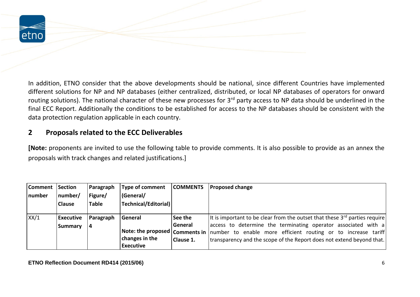

In addition, ETNO consider that the above developments should be national, since different Countries have implemented different solutions for NP and NP databases (either centralized, distributed, or local NP databases of operators for onward routing solutions). The national character of these new processes for 3<sup>rd</sup> party access to NP data should be underlined in the final ECC Report. Additionally the conditions to be established for access to the NP databases should be consistent with the data protection regulation applicable in each country.

## **2 Proposals related to the ECC Deliverables**

**[Note:** proponents are invited to use the following table to provide comments. It is also possible to provide as an annex the proposals with track changes and related justifications.]

| Comment Section |                  | Paragraph    | Type of comment      | <b>COMMENTS</b> | <b>Proposed change</b>                                                                           |
|-----------------|------------------|--------------|----------------------|-----------------|--------------------------------------------------------------------------------------------------|
| number          | number/          | Figure/      | (General/            |                 |                                                                                                  |
|                 | <b>Clause</b>    | <b>Table</b> | Technical/Editorial) |                 |                                                                                                  |
|                 |                  |              |                      |                 |                                                                                                  |
| XX/1            | <b>Executive</b> | Paragraph    | General              | See the         | It is important to be clear from the outset that these $3^{rd}$ parties require                  |
|                 | Summary          | 4            |                      | General         | access to determine the terminating operator associated with a                                   |
|                 |                  |              |                      |                 | Note: the proposed   Comments in   number to enable more efficient routing or to increase tariff |
|                 |                  |              | changes in the       | Clause 1.       | transparency and the scope of the Report does not extend beyond that.                            |
|                 |                  |              | <b>Executive</b>     |                 |                                                                                                  |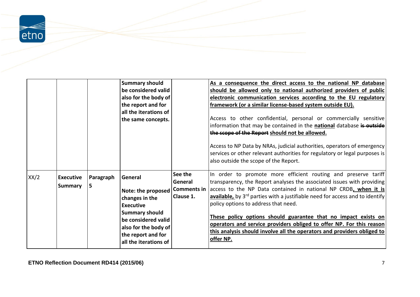

|      |                  |           | <b>Summary should</b>                                                                                               |                    | As a consequence the direct access to the national NP database                                                                                                                                                                 |
|------|------------------|-----------|---------------------------------------------------------------------------------------------------------------------|--------------------|--------------------------------------------------------------------------------------------------------------------------------------------------------------------------------------------------------------------------------|
|      |                  |           | be considered valid                                                                                                 |                    | should be allowed only to national authorized providers of public                                                                                                                                                              |
|      |                  |           | also for the body of                                                                                                |                    | electronic communication services according to the EU regulatory                                                                                                                                                               |
|      |                  |           | the report and for                                                                                                  |                    | framework (or a similar license-based system outside EU).                                                                                                                                                                      |
|      |                  |           | all the iterations of                                                                                               |                    |                                                                                                                                                                                                                                |
|      |                  |           | the same concepts.                                                                                                  |                    | Access to other confidential, personal or commercially sensitive                                                                                                                                                               |
|      |                  |           |                                                                                                                     |                    | information that may be contained in the <b>national</b> database is <b>outside</b>                                                                                                                                            |
|      |                  |           |                                                                                                                     |                    | the scope of the Report should not be allowed.                                                                                                                                                                                 |
|      |                  |           |                                                                                                                     |                    | Access to NP Data by NRAs, judicial authorities, operators of emergency<br>services or other relevant authorities for regulatory or legal purposes is<br>also outside the scope of the Report.                                 |
| XX/2 | <b>Executive</b> | Paragraph | General                                                                                                             | See the            | In order to promote more efficient routing and preserve tariff                                                                                                                                                                 |
|      | <b>Summary</b>   | 5         |                                                                                                                     | General            | transparency, the Report analyses the associated issues with providing                                                                                                                                                         |
|      |                  |           | Note: the proposed                                                                                                  | <b>Comments in</b> | access to the NP Data contained in national NP CRDB, when it is                                                                                                                                                                |
|      |                  |           | changes in the                                                                                                      | Clause 1.          | available, by 3 <sup>rd</sup> parties with a justifiable need for access and to identify                                                                                                                                       |
|      |                  |           | <b>Executive</b>                                                                                                    |                    | policy options to address that need.                                                                                                                                                                                           |
|      |                  |           | <b>Summary should</b><br>be considered valid<br>also for the body of<br>the report and for<br>all the iterations of |                    | These policy options should guarantee that no impact exists on<br>operators and service providers obliged to offer NP. For this reason<br>this analysis should involve all the operators and providers obliged to<br>offer NP. |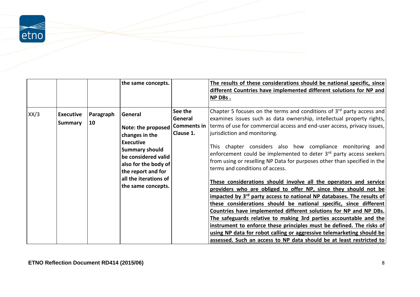$\begin{array}{c}\n\hline\n\end{array}$ etno

|      |                                    |                 | the same concepts.                                                                                                                                                                                               |                                                       | The results of these considerations should be national specific, since<br>different Countries have implemented different solutions for NP and<br>NP DBs.                                                                                                                                                                                                                                                                                                                                                                                                                                                                                                                                                                                                                                                                                                                                                                                                                                                                                                                                                                                                                           |
|------|------------------------------------|-----------------|------------------------------------------------------------------------------------------------------------------------------------------------------------------------------------------------------------------|-------------------------------------------------------|------------------------------------------------------------------------------------------------------------------------------------------------------------------------------------------------------------------------------------------------------------------------------------------------------------------------------------------------------------------------------------------------------------------------------------------------------------------------------------------------------------------------------------------------------------------------------------------------------------------------------------------------------------------------------------------------------------------------------------------------------------------------------------------------------------------------------------------------------------------------------------------------------------------------------------------------------------------------------------------------------------------------------------------------------------------------------------------------------------------------------------------------------------------------------------|
| XX/3 | <b>Executive</b><br><b>Summary</b> | Paragraph<br>10 | General<br>Note: the proposed<br>changes in the<br><b>Executive</b><br><b>Summary should</b><br>be considered valid<br>also for the body of<br>the report and for<br>all the iterations of<br>the same concepts. | See the<br>General<br><b>Comments in</b><br>Clause 1. | Chapter 5 focuses on the terms and conditions of $3rd$ party access and<br>examines issues such as data ownership, intellectual property rights,<br>terms of use for commercial access and end-user access, privacy issues,<br>jurisdiction and monitoring.<br>This chapter considers also how compliance monitoring and<br>enforcement could be implemented to deter 3rd party access seekers<br>from using or reselling NP Data for purposes other than specified in the<br>terms and conditions of access.<br>These considerations should involve all the operators and service<br>providers who are obliged to offer NP, since they should not be<br>impacted by 3 <sup>rd</sup> party access to national NP databases. The results of<br>these considerations should be national specific, since different<br>Countries have implemented different solutions for NP and NP DBs.<br>The safeguards relative to making 3rd parties accountable and the<br>instrument to enforce these principles must be defined. The risks of<br>using NP data for robot calling or aggressive telemarketing should be<br>assessed. Such an access to NP data should be at least restricted to |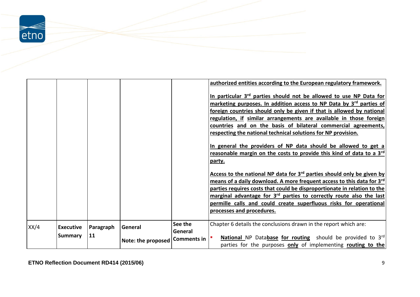

|      |                                    |                 |                                |         | authorized entities according to the European regulatory framework.<br>In particular 3 <sup>rd</sup> parties should not be allowed to use NP Data for<br>marketing purposes. In addition access to NP Data by 3rd parties of<br>foreign countries should only be given if that is allowed by national<br>regulation, if similar arrangements are available in those foreign<br>countries and on the basis of bilateral commercial agreements,<br>respecting the national technical solutions for NP provision.<br>In general the providers of NP data should be allowed to get a<br>reasonable margin on the costs to provide this kind of data to a 3 <sup>rd</sup><br>party.<br>Access to the national NP data for $3rd$ parties should only be given by<br>means of a daily download. A more frequent access to this data for 3rd<br>parties requires costs that could be disproportionate in relation to the<br>marginal advantage for $3rd$ parties to correctly route also the last<br>permille calls and could create superfluous risks for operational<br>processes and procedures. |
|------|------------------------------------|-----------------|--------------------------------|---------|---------------------------------------------------------------------------------------------------------------------------------------------------------------------------------------------------------------------------------------------------------------------------------------------------------------------------------------------------------------------------------------------------------------------------------------------------------------------------------------------------------------------------------------------------------------------------------------------------------------------------------------------------------------------------------------------------------------------------------------------------------------------------------------------------------------------------------------------------------------------------------------------------------------------------------------------------------------------------------------------------------------------------------------------------------------------------------------------|
|      |                                    |                 |                                | See the | Chapter 6 details the conclusions drawn in the report which are:                                                                                                                                                                                                                                                                                                                                                                                                                                                                                                                                                                                                                                                                                                                                                                                                                                                                                                                                                                                                                            |
| XX/4 | <b>Executive</b><br><b>Summary</b> | Paragraph<br>11 | General                        | General |                                                                                                                                                                                                                                                                                                                                                                                                                                                                                                                                                                                                                                                                                                                                                                                                                                                                                                                                                                                                                                                                                             |
|      |                                    |                 | Note: the proposed Comments in |         | National NP Database for routing should be provided to 3rd<br>parties for the purposes only of implementing routing to the                                                                                                                                                                                                                                                                                                                                                                                                                                                                                                                                                                                                                                                                                                                                                                                                                                                                                                                                                                  |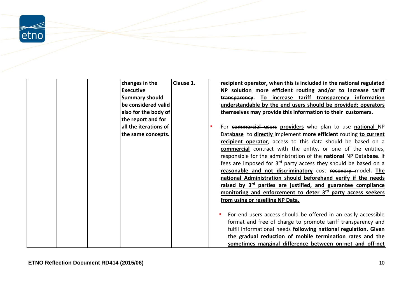$\geq$  etno

| changes in the        | Clause 1. | recipient operator, when this is included in the national regulated         |
|-----------------------|-----------|-----------------------------------------------------------------------------|
| <b>Executive</b>      |           | NP solution more efficient routing and/or to increase tariff                |
| <b>Summary should</b> |           | transparency. To increase tariff transparency information                   |
| be considered valid   |           | understandable by the end users should be provided; operators               |
| also for the body of  |           | themselves may provide this information to their customers.                 |
| the report and for    |           |                                                                             |
| all the iterations of |           | For commercial users providers who plan to use national NP                  |
| the same concepts.    |           | Database to directly implement more efficient routing to current            |
|                       |           | recipient operator, access to this data should be based on a                |
|                       |           | <b>commercial</b> contract with the entity, or one of the entities,         |
|                       |           | responsible for the administration of the national NP Database. If          |
|                       |           | fees are imposed for 3 <sup>rd</sup> party access they should be based on a |
|                       |           | reasonable and not discriminatory cost recovery model. The                  |
|                       |           | national Administration should beforehand verify if the needs               |
|                       |           | raised by 3 <sup>rd</sup> parties are justified, and guarantee compliance   |
|                       |           | monitoring and enforcement to deter 3 <sup>rd</sup> party access seekers    |
|                       |           | from using or reselling NP Data.                                            |
|                       |           |                                                                             |
|                       |           | For end-users access should be offered in an easily accessible              |
|                       |           | format and free of charge to promote tariff transparency and                |
|                       |           | fulfil informational needs following national regulation. Given             |
|                       |           | the gradual reduction of mobile termination rates and the                   |
|                       |           | sometimes marginal difference between on-net and off-net                    |